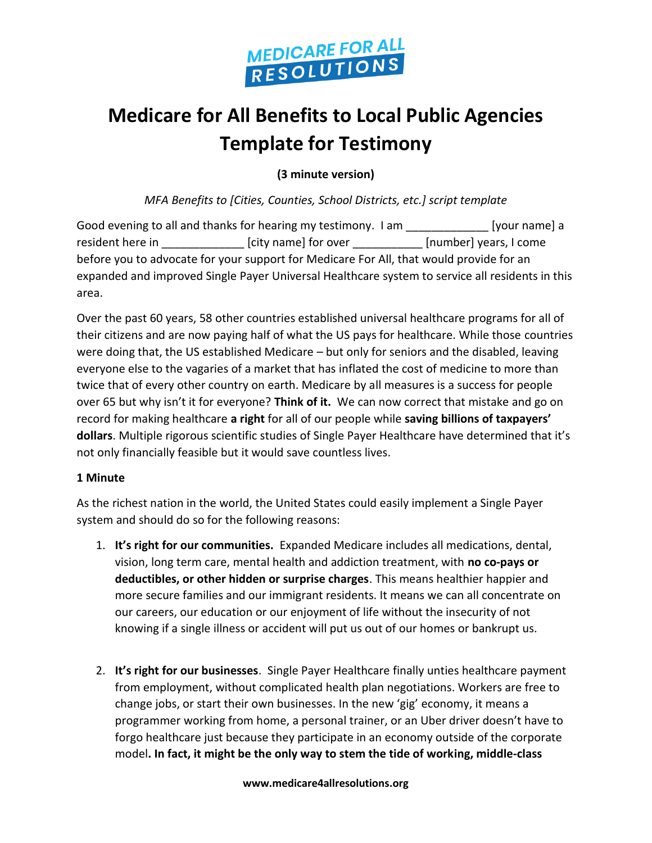

## **Medicare for All Benefits to Local Public Agencies Template for Testimony**

**(3 minute version)**

*MFA Benefits to [Cities, Counties, School Districts, etc.] script template*

| Good evening to all and thanks for hearing my testimony. I am                                   |                      | [your name] a          |
|-------------------------------------------------------------------------------------------------|----------------------|------------------------|
| resident here in                                                                                | [city name] for over | [number] years, I come |
| before you to advocate for your support for Medicare For All, that would provide for an         |                      |                        |
| expanded and improved Single Payer Universal Healthcare system to service all residents in this |                      |                        |
| area.                                                                                           |                      |                        |

Over the past 60 years, 58 other countries established universal healthcare programs for all of their citizens and are now paying half of what the US pays for healthcare. While those countries were doing that, the US established Medicare – but only for seniors and the disabled, leaving everyone else to the vagaries of a market that has inflated the cost of medicine to more than twice that of every other country on earth. Medicare by all measures is a success for people over 65 but why isn't it for everyone? **Think of it.** We can now correct that mistake and go on record for making healthcare **a right** for all of our people while **saving billions of taxpayers' dollars**. Multiple rigorous scientific studies of Single Payer Healthcare have determined that it's not only financially feasible but it would save countless lives.

#### **1 Minute**

As the richest nation in the world, the United States could easily implement a Single Payer system and should do so for the following reasons:

- 1. **It's right for our communities.** Expanded Medicare includes all medications, dental, vision, long term care, mental health and addiction treatment, with **no co-pays or deductibles, or other hidden or surprise charges**. This means healthier happier and more secure families and our immigrant residents. It means we can all concentrate on our careers, our education or our enjoyment of life without the insecurity of not knowing if a single illness or accident will put us out of our homes or bankrupt us.
- 2. **It's right for our businesses**. Single Payer Healthcare finally unties healthcare payment from employment, without complicated health plan negotiations. Workers are free to change jobs, or start their own businesses. In the new 'gig' economy, it means a programmer working from home, a personal trainer, or an Uber driver doesn't have to forgo healthcare just because they participate in an economy outside of the corporate model**. In fact, it might be the only way to stem the tide of working, middle-class**